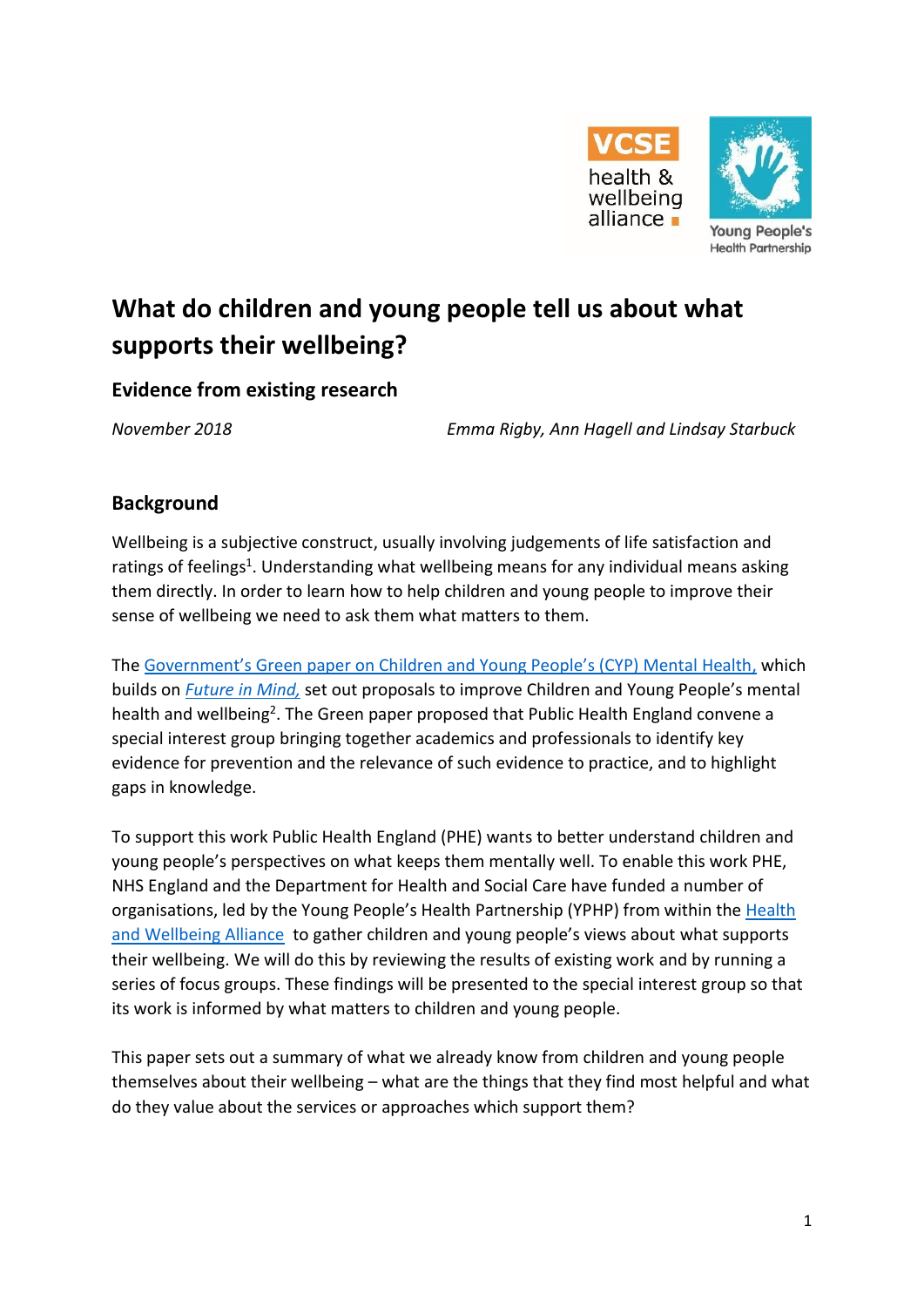

# **What do children and young people tell us about what supports their wellbeing?**

### **Evidence from existing research**

*November 2018 Emma Rigby, Ann Hagell and Lindsay Starbuck*

## **Background**

Wellbeing is a subjective construct, usually involving judgements of life satisfaction and ratings of feelings<sup>1</sup>. Understanding what wellbeing means for any individual means asking them directly. In order to learn how to help children and young people to improve their sense of wellbeing we need to ask them what matters to them.

The [Government's Green paper on Children and Young People's \(CYP\) Mental Health](https://assets.publishing.service.gov.uk/government/uploads/system/uploads/attachment_data/file/728892/government-response-to-consultation-on-transforming-children-and-young-peoples-mental-health.pdf), which builds on *[Future in Mind,](https://assets.publishing.service.gov.uk/government/uploads/system/uploads/attachment_data/file/414024/Childrens_Mental_Health.pdf)* set out proposals to improve Children and Young People's mental health and wellbeing<sup>2</sup>. The Green paper proposed that Public Health England convene a special interest group bringing together academics and professionals to identify key evidence for prevention and the relevance of such evidence to practice, and to highlight gaps in knowledge.

To support this work Public Health England (PHE) wants to better understand children and young people's perspectives on what keeps them mentally well. To enable this work PHE, NHS England and the Department for Health and Social Care have funded a number of organisations, led by the Young People's Health Partnership (YPHP) from within the [Health](https://www.england.nhs.uk/hwalliance/)  [and Wellbeing Alliance](https://www.england.nhs.uk/hwalliance/) to gather children and young people's views about what supports their wellbeing. We will do this by reviewing the results of existing work and by running a series of focus groups. These findings will be presented to the special interest group so that its work is informed by what matters to children and young people.

This paper sets out a summary of what we already know from children and young people themselves about their wellbeing – what are the things that they find most helpful and what do they value about the services or approaches which support them?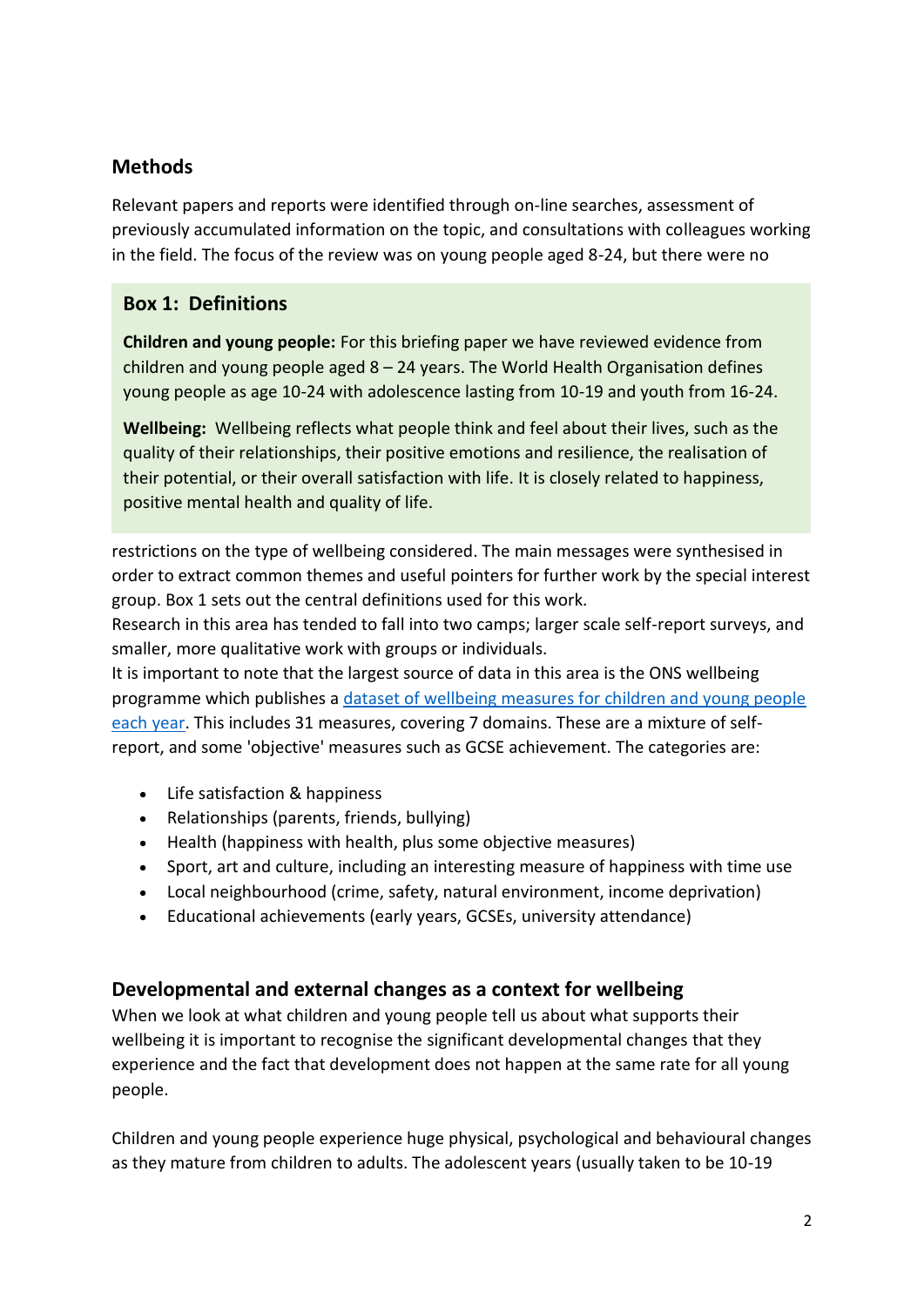# **Methods**

Relevant papers and reports were identified through on-line searches, assessment of previously accumulated information on the topic, and consultations with colleagues working in the field. The focus of the review was on young people aged 8-24, but there were no

## **Box 1: Definitions**

**Children and young people:** For this briefing paper we have reviewed evidence from children and young people aged  $8 - 24$  years. The World Health Organisation defines young people as age 10-24 with adolescence lasting from 10-19 and youth from 16-24.

**Wellbeing:** Wellbeing reflects what people think and feel about their lives, such as the quality of their relationships, their positive emotions and resilience, the realisation of their potential, or their overall satisfaction with life. It is closely related to happiness, positive mental health and quality of life.

restrictions on the type of wellbeing considered. The main messages were synthesised in order to extract common themes and useful pointers for further work by the special interest group. Box 1 sets out the central definitions used for this work.

Research in this area has tended to fall into two camps; larger scale self-report surveys, and smaller, more qualitative work with groups or individuals.

It is important to note that the largest source of data in this area is the ONS wellbeing programme which publishes a [dataset of wellbeing measures for children and young people](https://www.ons.gov.uk/peoplepopulationandcommunity/wellbeing/datasets/childrenswellbeingmeasures)  [each year.](https://www.ons.gov.uk/peoplepopulationandcommunity/wellbeing/datasets/childrenswellbeingmeasures) This includes 31 measures, covering 7 domains. These are a mixture of selfreport, and some 'objective' measures such as GCSE achievement. The categories are:

- Life satisfaction & happiness
- Relationships (parents, friends, bullying)
- Health (happiness with health, plus some objective measures)
- Sport, art and culture, including an interesting measure of happiness with time use
- Local neighbourhood (crime, safety, natural environment, income deprivation)
- Educational achievements (early years, GCSEs, university attendance)

## **Developmental and external changes as a context for wellbeing**

When we look at what children and young people tell us about what supports their wellbeing it is important to recognise the significant developmental changes that they experience and the fact that development does not happen at the same rate for all young people.

Children and young people experience huge physical, psychological and behavioural changes as they mature from children to adults. The adolescent years (usually taken to be 10-19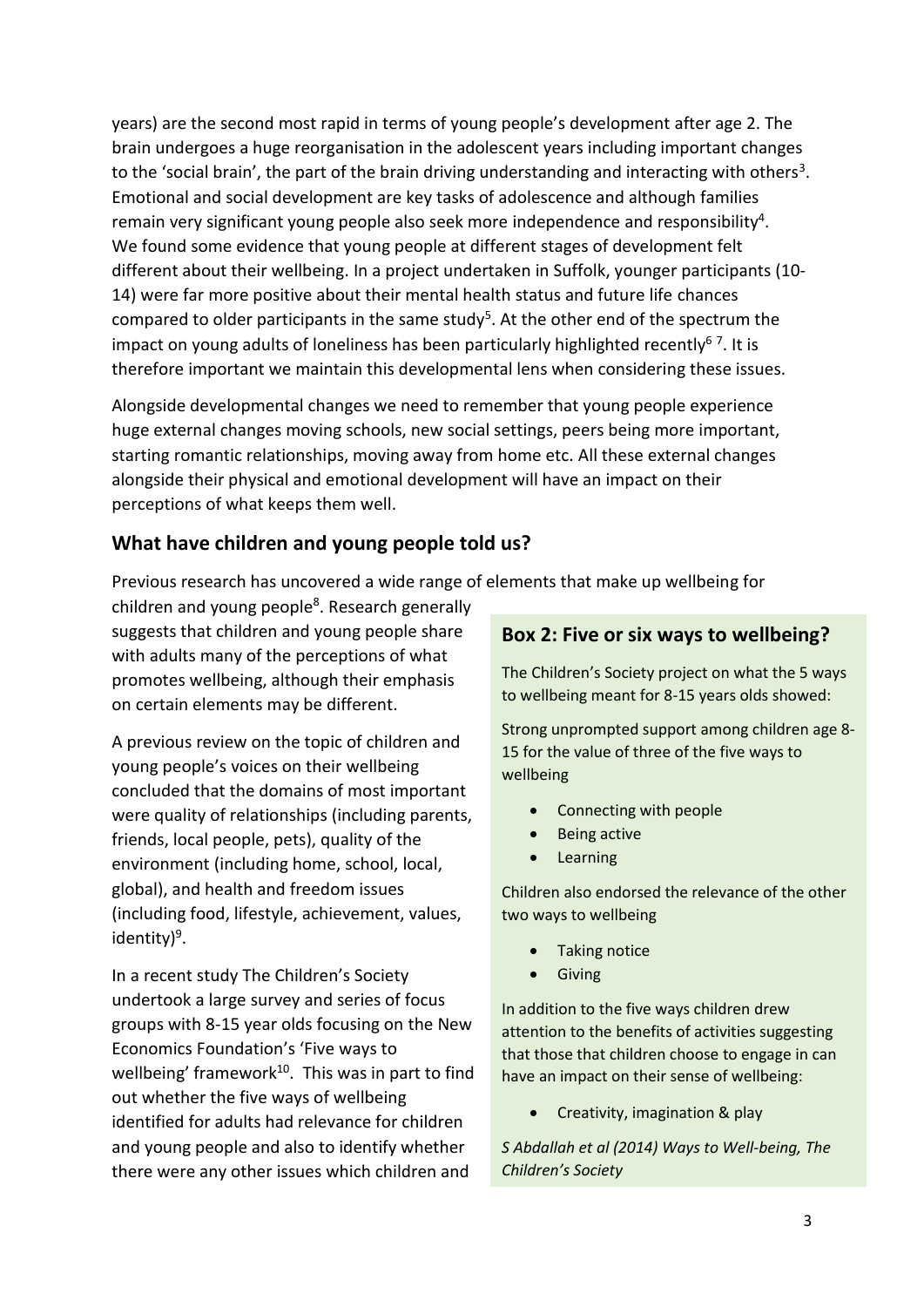years) are the second most rapid in terms of young people's development after age 2. The brain undergoes a huge reorganisation in the adolescent years including important changes to the 'social brain', the part of the brain driving understanding and interacting with others<sup>3</sup>. Emotional and social development are key tasks of adolescence and although families remain very significant young people also seek more independence and responsibility<sup>4</sup>. We found some evidence that young people at different stages of development felt different about their wellbeing. In a project undertaken in Suffolk, younger participants (10- 14) were far more positive about their mental health status and future life chances compared to older participants in the same study<sup>5</sup>. At the other end of the spectrum the impact on young adults of loneliness has been particularly highlighted recently<sup>67</sup>. It is therefore important we maintain this developmental lens when considering these issues.

Alongside developmental changes we need to remember that young people experience huge external changes moving schools, new social settings, peers being more important, starting romantic relationships, moving away from home etc. All these external changes alongside their physical and emotional development will have an impact on their perceptions of what keeps them well.

## **What have children and young people told us?**

Previous research has uncovered a wide range of elements that make up wellbeing for

children and young people<sup>8</sup>. Research generally suggests that children and young people share with adults many of the perceptions of what promotes wellbeing, although their emphasis on certain elements may be different.

A previous review on the topic of children and young people's voices on their wellbeing concluded that the domains of most important were quality of relationships (including parents, friends, local people, pets), quality of the environment (including home, school, local, global), and health and freedom issues (including food, lifestyle, achievement, values, identity)<sup>9</sup>.

In a recent study The Children's Society undertook a large survey and series of focus groups with 8-15 year olds focusing on the New Economics Foundation's 'Five ways to wellbeing' framework<sup>10</sup>. This was in part to find out whether the five ways of wellbeing identified for adults had relevance for children and young people and also to identify whether there were any other issues which children and

#### **Box 2: Five or six ways to wellbeing?**

The Children's Society project on what the 5 ways to wellbeing meant for 8-15 years olds showed:

Strong unprompted support among children age 8- 15 for the value of three of the five ways to wellbeing

- Connecting with people
- Being active
- **Learning**

Children also endorsed the relevance of the other two ways to wellbeing

- Taking notice
- Giving

In addition to the five ways children drew attention to the benefits of activities suggesting that those that children choose to engage in can have an impact on their sense of wellbeing:

• Creativity, imagination & play

*S Abdallah et al (2014) Ways to Well-being, The Children's Society*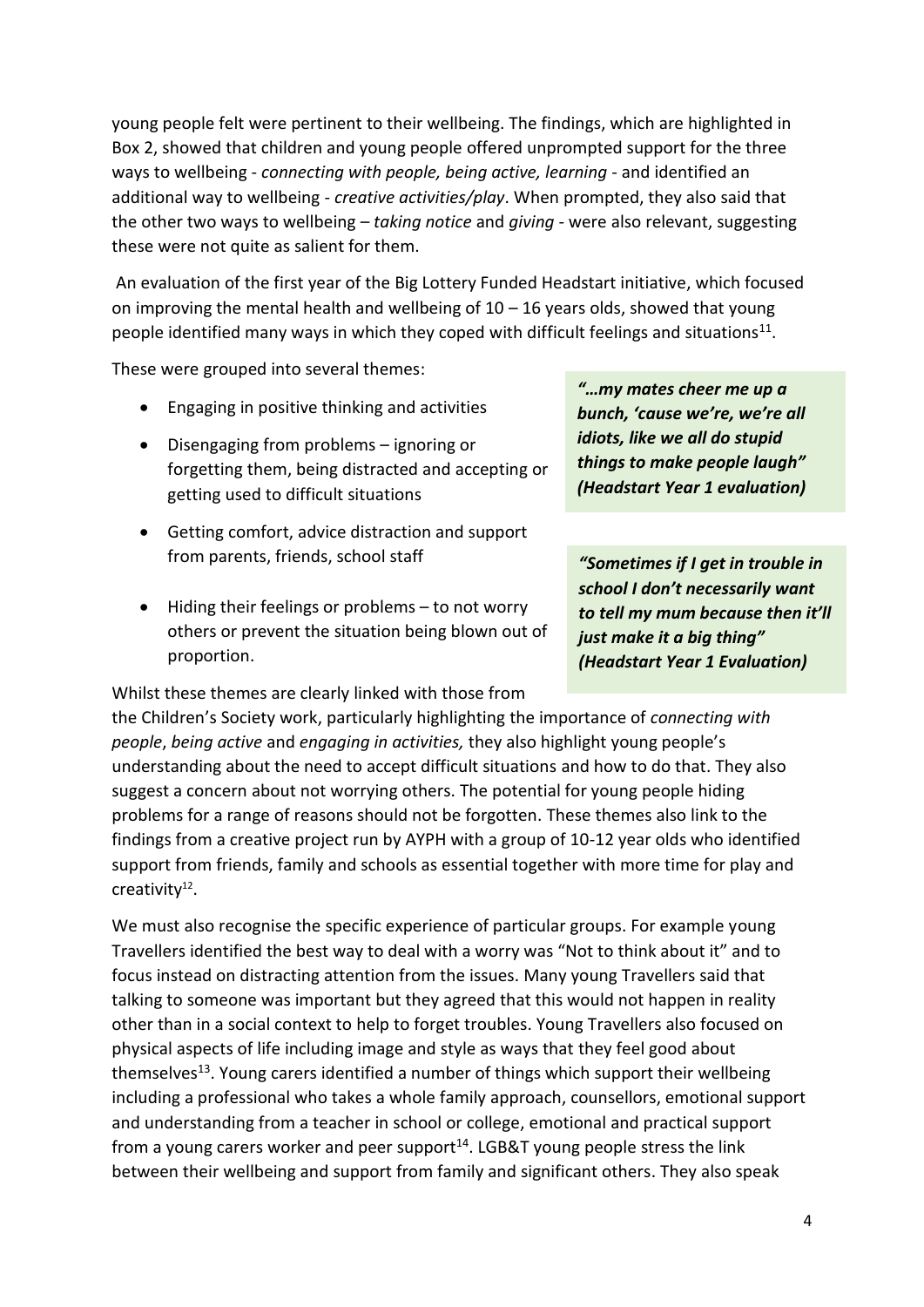young people felt were pertinent to their wellbeing. The findings, which are highlighted in Box 2, showed that children and young people offered unprompted support for the three ways to wellbeing - *connecting with people, being active, learning -* and identified an additional way to wellbeing - *creative activities/play*. When prompted, they also said that the other two ways to wellbeing – *taking notice* and *giving* - were also relevant, suggesting these were not quite as salient for them.

An evaluation of the first year of the Big Lottery Funded Headstart initiative, which focused on improving the mental health and wellbeing of  $10 - 16$  years olds, showed that young people identified many ways in which they coped with difficult feelings and situations<sup>11</sup>.

These were grouped into several themes:

- Engaging in positive thinking and activities
- Disengaging from problems ignoring or forgetting them, being distracted and accepting or getting used to difficult situations
- Getting comfort, advice distraction and support from parents, friends, school staff
- Hiding their feelings or problems to not worry others or prevent the situation being blown out of proportion.

Whilst these themes are clearly linked with those from

*"…my mates cheer me up a bunch, 'cause we're, we're all idiots, like we all do stupid things to make people laugh" (Headstart Year 1 evaluation)*

*"Sometimes if I get in trouble in school I don't necessarily want to tell my mum because then it'll just make it a big thing" (Headstart Year 1 Evaluation)*

the Children's Society work, particularly highlighting the importance of *connecting with people*, *being active* and *engaging in activities,* they also highlight young people's understanding about the need to accept difficult situations and how to do that. They also suggest a concern about not worrying others. The potential for young people hiding problems for a range of reasons should not be forgotten. These themes also link to the findings from a creative project run by AYPH with a group of 10-12 year olds who identified support from friends, family and schools as essential together with more time for play and creativity<sup>12</sup>.

We must also recognise the specific experience of particular groups. For example young Travellers identified the best way to deal with a worry was "Not to think about it" and to focus instead on distracting attention from the issues. Many young Travellers said that talking to someone was important but they agreed that this would not happen in reality other than in a social context to help to forget troubles. Young Travellers also focused on physical aspects of life including image and style as ways that they feel good about themselves<sup>13</sup>. Young carers identified a number of things which support their wellbeing including a professional who takes a whole family approach, counsellors, emotional support and understanding from a teacher in school or college, emotional and practical support from a young carers worker and peer support $14$ . LGB&T young people stress the link between their wellbeing and support from family and significant others. They also speak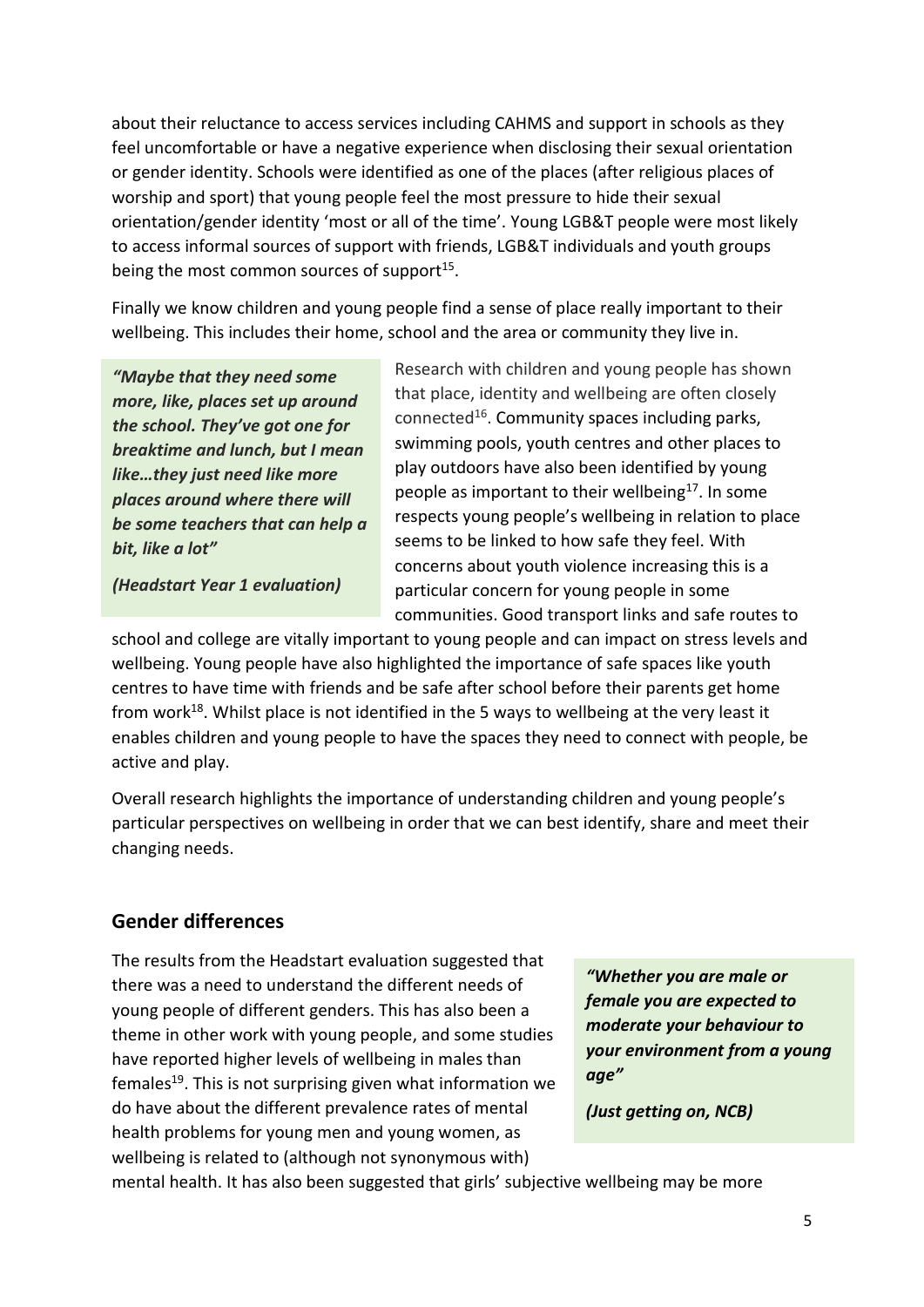about their reluctance to access services including CAHMS and support in schools as they feel uncomfortable or have a negative experience when disclosing their sexual orientation or gender identity. Schools were identified as one of the places (after religious places of worship and sport) that young people feel the most pressure to hide their sexual orientation/gender identity 'most or all of the time'. Young LGB&T people were most likely to access informal sources of support with friends, LGB&T individuals and youth groups being the most common sources of support<sup>15</sup>.

Finally we know children and young people find a sense of place really important to their wellbeing. This includes their home, school and the area or community they live in.

*"Maybe that they need some more, like, places set up around the school. They've got one for breaktime and lunch, but I mean like…they just need like more places around where there will be some teachers that can help a bit, like a lot"* 

*(Headstart Year 1 evaluation)*

Research with children and young people has shown that place, identity and wellbeing are often closely connected<sup>16</sup>. Community spaces including parks, swimming pools, youth centres and other places to play outdoors have also been identified by young people as important to their wellbeing<sup>17</sup>. In some respects young people's wellbeing in relation to place seems to be linked to how safe they feel. With concerns about youth violence increasing this is a particular concern for young people in some communities. Good transport links and safe routes to

school and college are vitally important to young people and can impact on stress levels and wellbeing. Young people have also highlighted the importance of safe spaces like youth centres to have time with friends and be safe after school before their parents get home from work<sup>18</sup>. Whilst place is not identified in the 5 ways to wellbeing at the very least it enables children and young people to have the spaces they need to connect with people, be active and play.

Overall research highlights the importance of understanding children and young people's particular perspectives on wellbeing in order that we can best identify, share and meet their changing needs.

## **Gender differences**

The results from the Headstart evaluation suggested that there was a need to understand the different needs of young people of different genders. This has also been a theme in other work with young people, and some studies have reported higher levels of wellbeing in males than females<sup>19</sup>. This is not surprising given what information we do have about the different prevalence rates of mental health problems for young men and young women, as wellbeing is related to (although not synonymous with)

*"Whether you are male or female you are expected to moderate your behaviour to your environment from a young age"* 

*(Just getting on, NCB)*

mental health. It has also been suggested that girls' subjective wellbeing may be more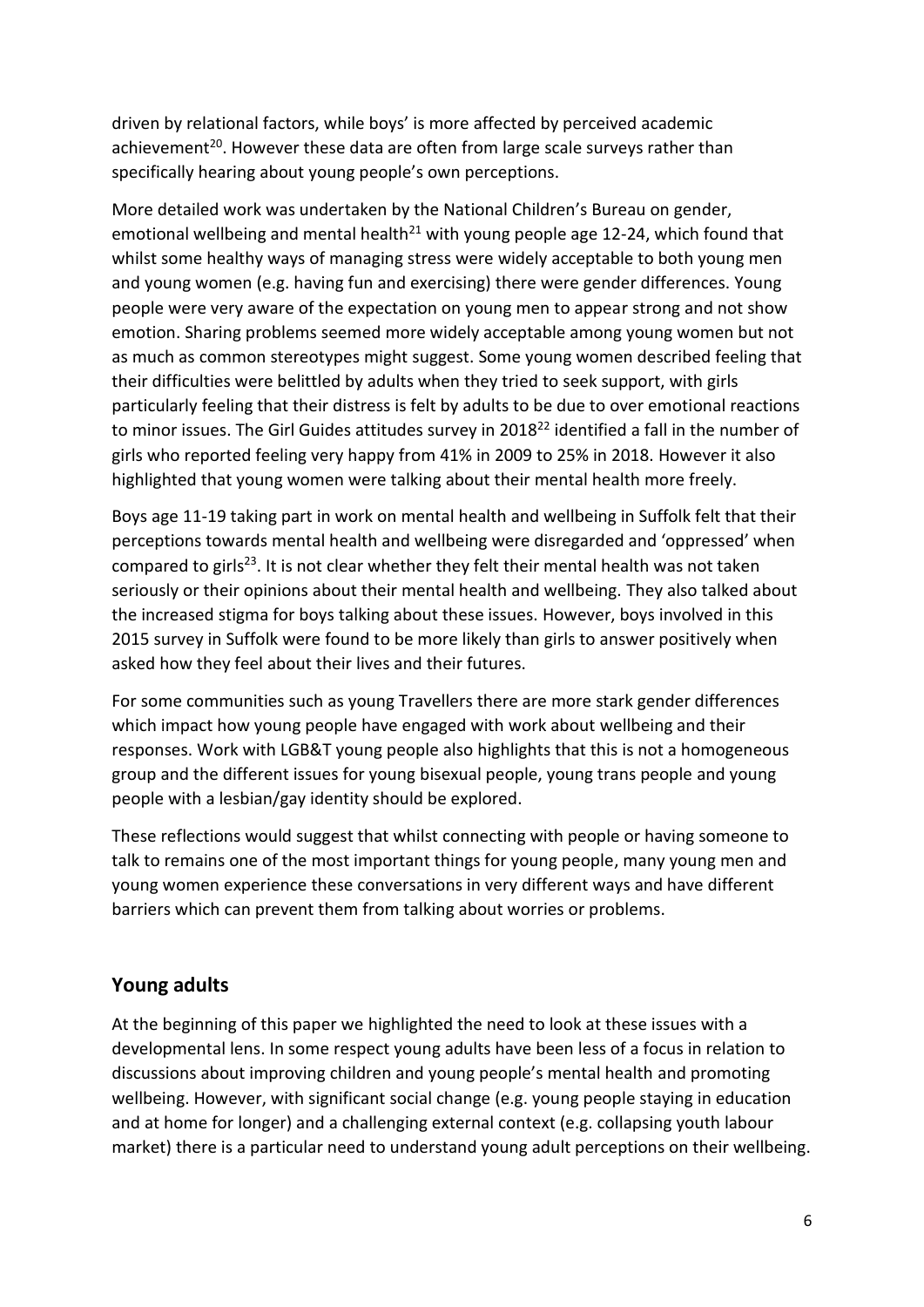driven by relational factors, while boys' is more affected by perceived academic achievement<sup>20</sup>. However these data are often from large scale surveys rather than specifically hearing about young people's own perceptions.

More detailed work was undertaken by the National Children's Bureau on gender, emotional wellbeing and mental health<sup>21</sup> with young people age 12-24, which found that whilst some healthy ways of managing stress were widely acceptable to both young men and young women (e.g. having fun and exercising) there were gender differences. Young people were very aware of the expectation on young men to appear strong and not show emotion. Sharing problems seemed more widely acceptable among young women but not as much as common stereotypes might suggest. Some young women described feeling that their difficulties were belittled by adults when they tried to seek support, with girls particularly feeling that their distress is felt by adults to be due to over emotional reactions to minor issues. The Girl Guides attitudes survey in 2018<sup>22</sup> identified a fall in the number of girls who reported feeling very happy from 41% in 2009 to 25% in 2018. However it also highlighted that young women were talking about their mental health more freely.

Boys age 11-19 taking part in work on mental health and wellbeing in Suffolk felt that their perceptions towards mental health and wellbeing were disregarded and 'oppressed' when compared to girls<sup>23</sup>. It is not clear whether they felt their mental health was not taken seriously or their opinions about their mental health and wellbeing. They also talked about the increased stigma for boys talking about these issues. However, boys involved in this 2015 survey in Suffolk were found to be more likely than girls to answer positively when asked how they feel about their lives and their futures.

For some communities such as young Travellers there are more stark gender differences which impact how young people have engaged with work about wellbeing and their responses. Work with LGB&T young people also highlights that this is not a homogeneous group and the different issues for young bisexual people, young trans people and young people with a lesbian/gay identity should be explored.

These reflections would suggest that whilst connecting with people or having someone to talk to remains one of the most important things for young people, many young men and young women experience these conversations in very different ways and have different barriers which can prevent them from talking about worries or problems.

## **Young adults**

At the beginning of this paper we highlighted the need to look at these issues with a developmental lens. In some respect young adults have been less of a focus in relation to discussions about improving children and young people's mental health and promoting wellbeing. However, with significant social change (e.g. young people staying in education and at home for longer) and a challenging external context (e.g. collapsing youth labour market) there is a particular need to understand young adult perceptions on their wellbeing.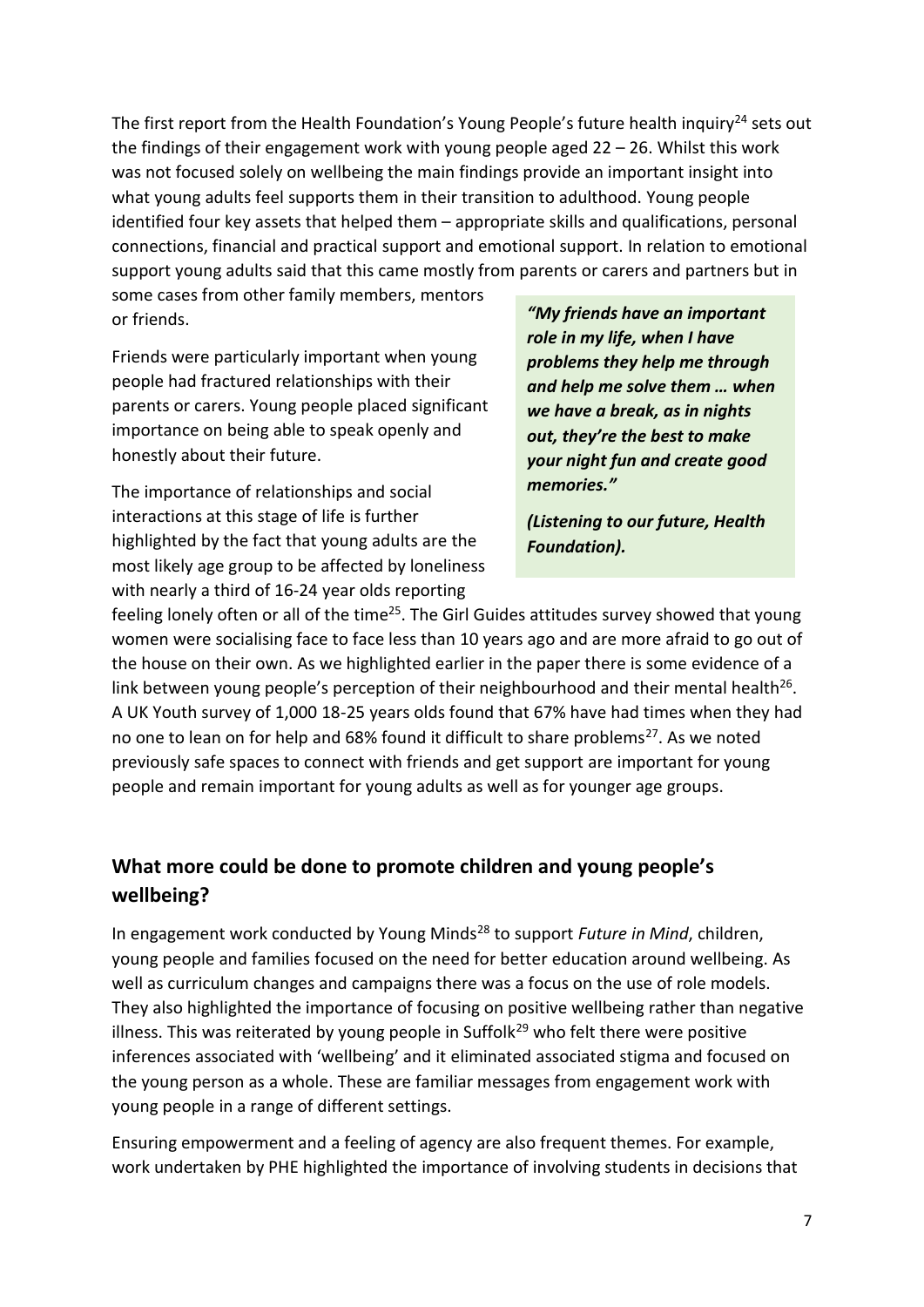The first report from the Health Foundation's Young People's future health inquiry<sup>24</sup> sets out the findings of their engagement work with young people aged 22 – 26. Whilst this work was not focused solely on wellbeing the main findings provide an important insight into what young adults feel supports them in their transition to adulthood. Young people identified four key assets that helped them – appropriate skills and qualifications, personal connections, financial and practical support and emotional support. In relation to emotional support young adults said that this came mostly from parents or carers and partners but in

some cases from other family members, mentors or friends.

Friends were particularly important when young people had fractured relationships with their parents or carers. Young people placed significant importance on being able to speak openly and honestly about their future.

The importance of relationships and social interactions at this stage of life is further highlighted by the fact that young adults are the most likely age group to be affected by loneliness with nearly a third of 16-24 year olds reporting

*"My friends have an important role in my life, when I have problems they help me through and help me solve them … when we have a break, as in nights out, they're the best to make your night fun and create good memories."* 

*(Listening to our future, Health Foundation).* 

feeling lonely often or all of the time<sup>25</sup>. The Girl Guides attitudes survey showed that young women were socialising face to face less than 10 years ago and are more afraid to go out of the house on their own. As we highlighted earlier in the paper there is some evidence of a link between young people's perception of their neighbourhood and their mental health<sup>26</sup>. A UK Youth survey of 1,000 18-25 years olds found that 67% have had times when they had no one to lean on for help and 68% found it difficult to share problems<sup>27</sup>. As we noted previously safe spaces to connect with friends and get support are important for young people and remain important for young adults as well as for younger age groups.

# **What more could be done to promote children and young people's wellbeing?**

In engagement work conducted by Young Minds<sup>28</sup> to support *Future in Mind*, children, young people and families focused on the need for better education around wellbeing. As well as curriculum changes and campaigns there was a focus on the use of role models. They also highlighted the importance of focusing on positive wellbeing rather than negative illness. This was reiterated by young people in Suffolk<sup>29</sup> who felt there were positive inferences associated with 'wellbeing' and it eliminated associated stigma and focused on the young person as a whole. These are familiar messages from engagement work with young people in a range of different settings.

Ensuring empowerment and a feeling of agency are also frequent themes. For example, work undertaken by PHE highlighted the importance of involving students in decisions that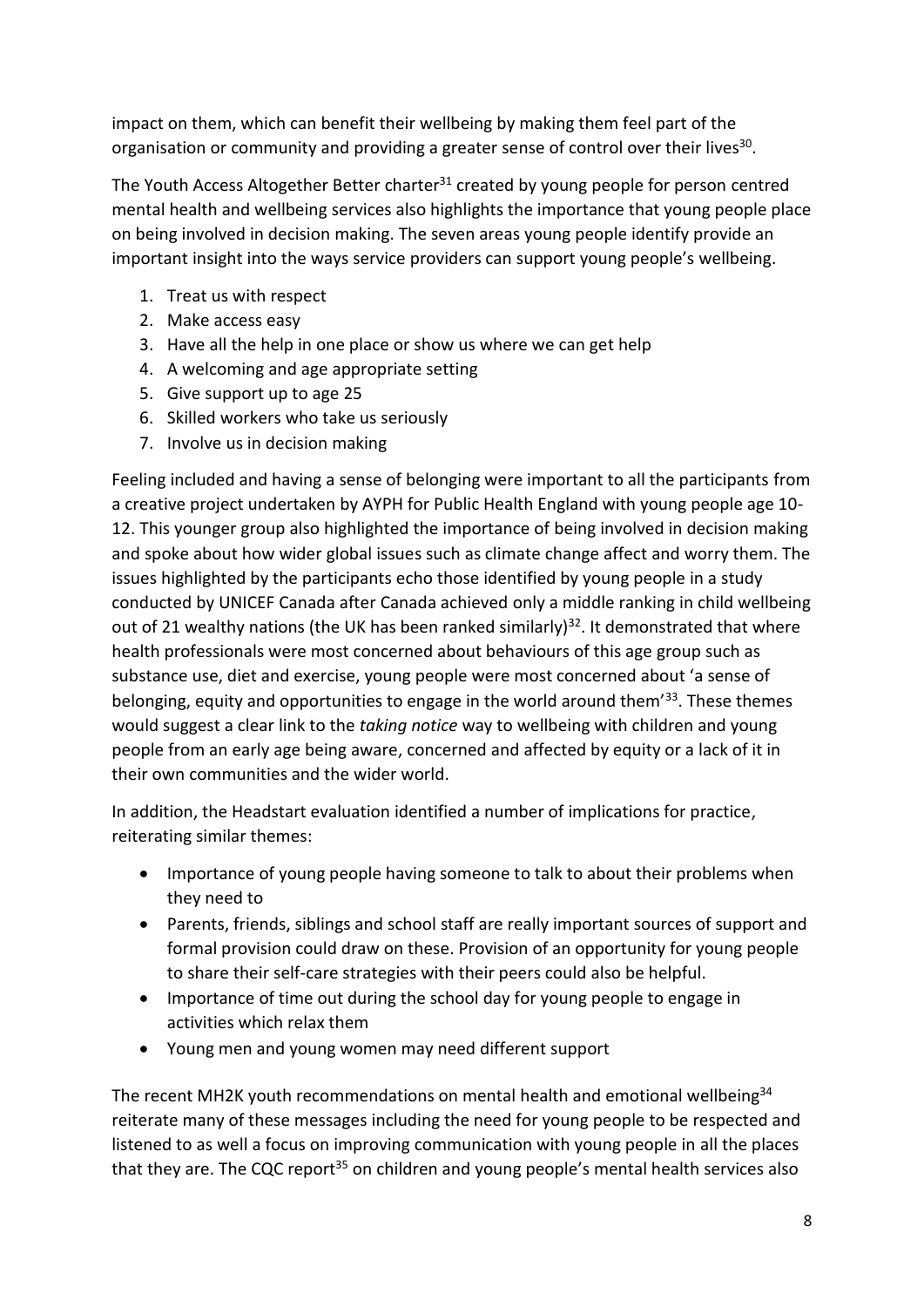impact on them, which can benefit their wellbeing by making them feel part of the organisation or community and providing a greater sense of control over their lives<sup>30</sup>.

The Youth Access Altogether Better charter $31$  created by young people for person centred mental health and wellbeing services also highlights the importance that young people place on being involved in decision making. The seven areas young people identify provide an important insight into the ways service providers can support young people's wellbeing.

- 1. Treat us with respect
- 2. Make access easy
- 3. Have all the help in one place or show us where we can get help
- 4. A welcoming and age appropriate setting
- 5. Give support up to age 25
- 6. Skilled workers who take us seriously
- 7. Involve us in decision making

Feeling included and having a sense of belonging were important to all the participants from a creative project undertaken by AYPH for Public Health England with young people age 10- 12. This younger group also highlighted the importance of being involved in decision making and spoke about how wider global issues such as climate change affect and worry them. The issues highlighted by the participants echo those identified by young people in a study conducted by UNICEF Canada after Canada achieved only a middle ranking in child wellbeing out of 21 wealthy nations (the UK has been ranked similarly)<sup>32</sup>. It demonstrated that where health professionals were most concerned about behaviours of this age group such as substance use, diet and exercise, young people were most concerned about 'a sense of belonging, equity and opportunities to engage in the world around them<sup>'33</sup>. These themes would suggest a clear link to the *taking notice* way to wellbeing with children and young people from an early age being aware, concerned and affected by equity or a lack of it in their own communities and the wider world.

In addition, the Headstart evaluation identified a number of implications for practice, reiterating similar themes:

- Importance of young people having someone to talk to about their problems when they need to
- Parents, friends, siblings and school staff are really important sources of support and formal provision could draw on these. Provision of an opportunity for young people to share their self-care strategies with their peers could also be helpful.
- Importance of time out during the school day for young people to engage in activities which relax them
- Young men and young women may need different support

The recent MH2K youth recommendations on mental health and emotional wellbeing<sup>34</sup> reiterate many of these messages including the need for young people to be respected and listened to as well a focus on improving communication with young people in all the places that they are. The CQC report<sup>35</sup> on children and young people's mental health services also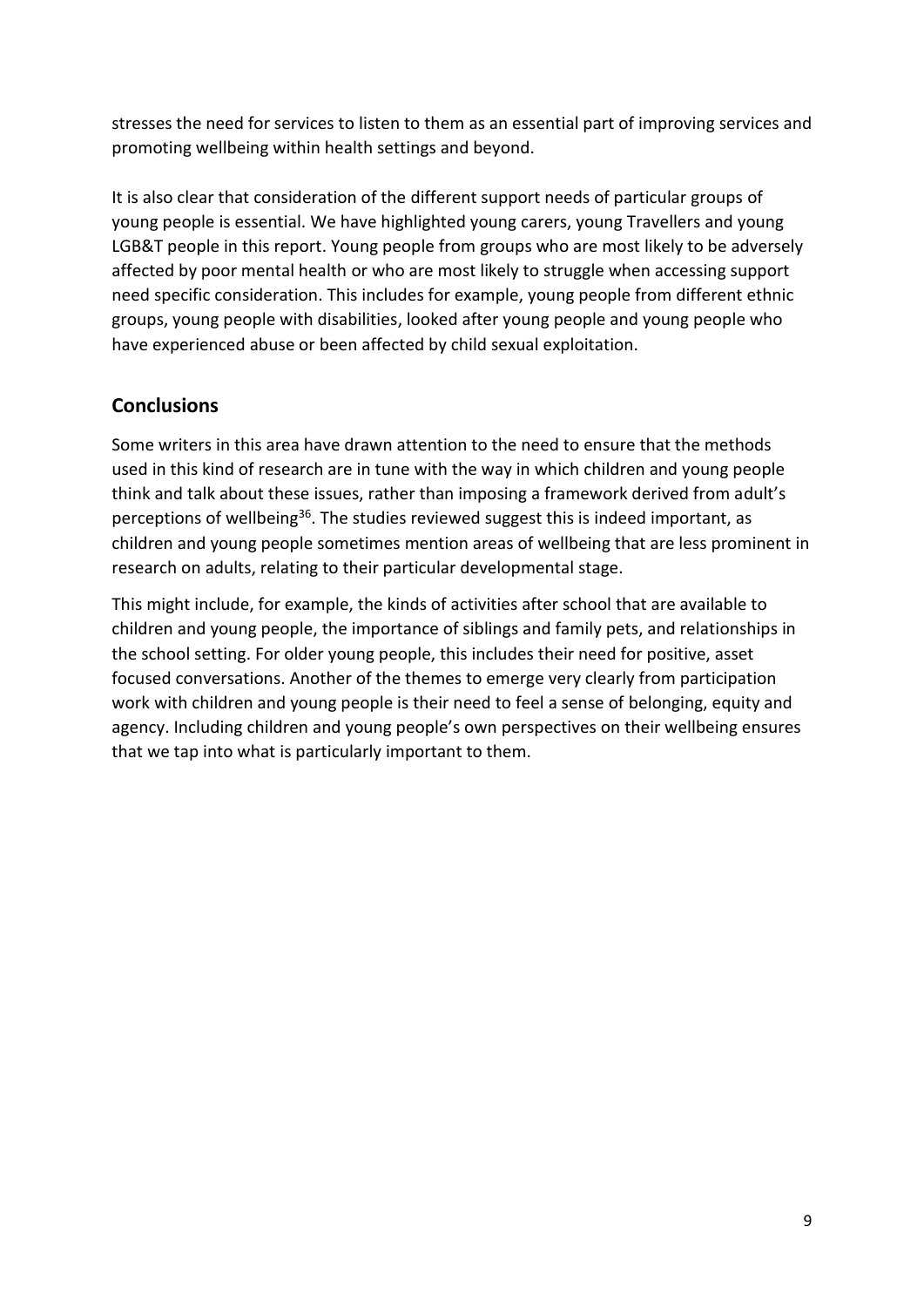stresses the need for services to listen to them as an essential part of improving services and promoting wellbeing within health settings and beyond.

It is also clear that consideration of the different support needs of particular groups of young people is essential. We have highlighted young carers, young Travellers and young LGB&T people in this report. Young people from groups who are most likely to be adversely affected by poor mental health or who are most likely to struggle when accessing support need specific consideration. This includes for example, young people from different ethnic groups, young people with disabilities, looked after young people and young people who have experienced abuse or been affected by child sexual exploitation.

# **Conclusions**

Some writers in this area have drawn attention to the need to ensure that the methods used in this kind of research are in tune with the way in which children and young people think and talk about these issues, rather than imposing a framework derived from adult's perceptions of wellbeing<sup>36</sup>. The studies reviewed suggest this is indeed important, as children and young people sometimes mention areas of wellbeing that are less prominent in research on adults, relating to their particular developmental stage.

This might include, for example, the kinds of activities after school that are available to children and young people, the importance of siblings and family pets, and relationships in the school setting. For older young people, this includes their need for positive, asset focused conversations. Another of the themes to emerge very clearly from participation work with children and young people is their need to feel a sense of belonging, equity and agency. Including children and young people's own perspectives on their wellbeing ensures that we tap into what is particularly important to them.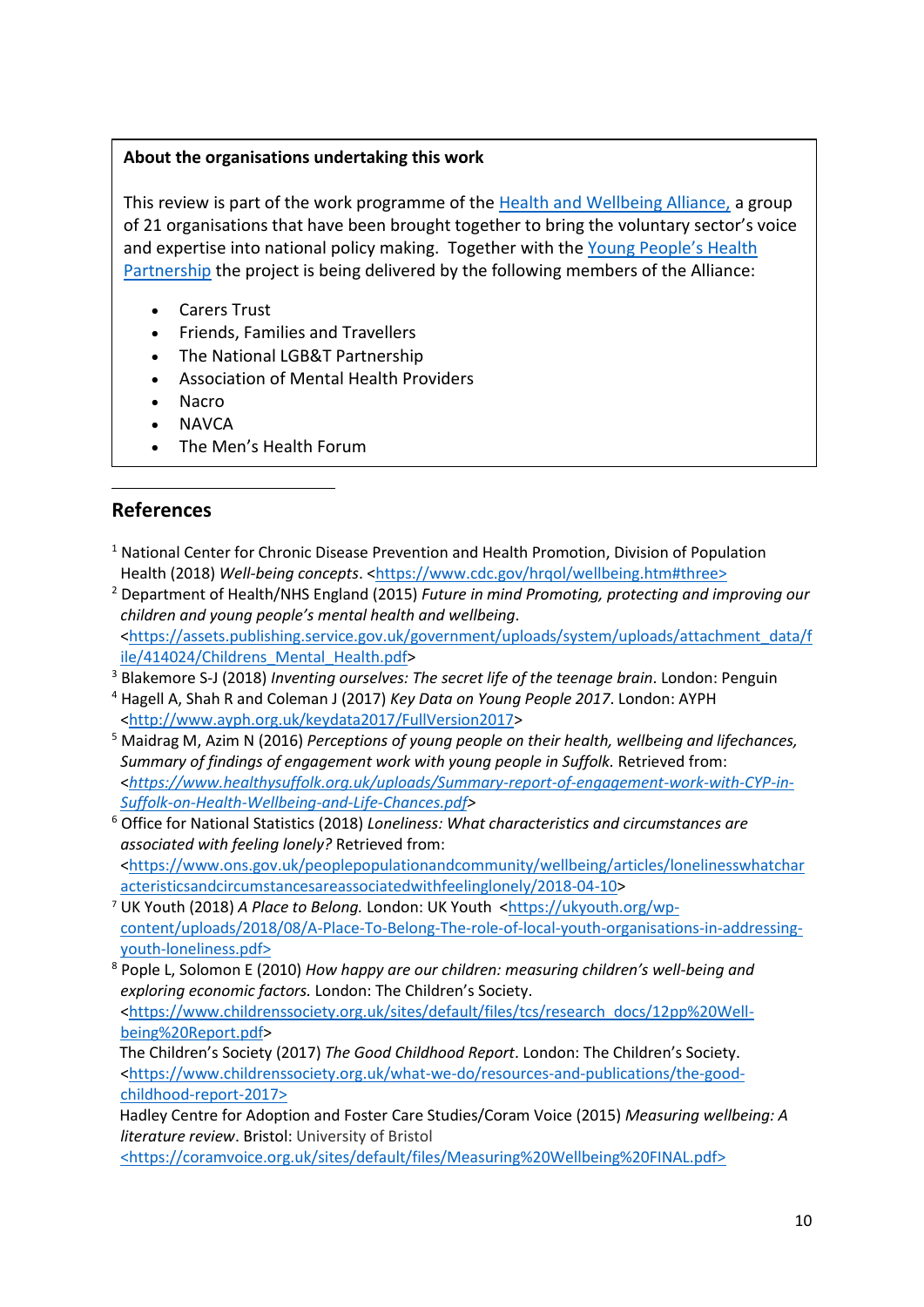#### **About the organisations undertaking this work**

This review is part of the work programme of the [Health and Wellbeing Alliance,](https://www.england.nhs.uk/hwalliance/) a group of 21 organisations that have been brought together to bring the voluntary sector's voice and expertise into national policy making. Together with the [Young People's Health](http://www.youngpeopleshealth.org.uk/yphp)  [Partnership](http://www.youngpeopleshealth.org.uk/yphp) the project is being delivered by the following members of the Alliance:

- Carers Trust
- Friends, Families and Travellers
- The National LGB&T Partnership
- Association of Mental Health Providers
- Nacro
- NAVCA
- The Men's Health Forum

## **References**

- $1$  National Center for Chronic Disease Prevention and Health Promotion, Division of Population Health (2018) *Well-being concepts*. [<https://www.cdc.gov/hrqol/wellbeing.htm#three>](https://www.cdc.gov/hrqol/wellbeing.htm#three)
- <sup>2</sup> Department of Health/NHS England (2015) *Future in mind Promoting, protecting and improving our children and young people's mental health and wellbeing*. [<https://assets.publishing.service.gov.uk/government/uploads/system/uploads/attachment\\_data/f](https://assets.publishing.service.gov.uk/government/uploads/system/uploads/attachment_data/file/414024/Childrens_Mental_Health.pdf) [ile/414024/Childrens\\_Mental\\_Health.pdf>](https://assets.publishing.service.gov.uk/government/uploads/system/uploads/attachment_data/file/414024/Childrens_Mental_Health.pdf)
- <sup>3</sup> Blakemore S-J (2018) *Inventing ourselves: The secret life of the teenage brain*. London: Penguin
- <sup>4</sup> Hagell A, Shah R and Coleman J (2017) *Key Data on Young People 2017*. London: AYPH [<http://www.ayph.org.uk/keydata2017/FullVersion2017>](http://www.ayph.org.uk/keydata2017/FullVersion2017)
- <sup>5</sup> Maidrag M, Azim N (2016) *Perceptions of young people on their health, wellbeing and lifechances, Summary of findings of engagement work with young people in Suffolk.* Retrieved from: <*[https://www.healthysuffolk.org.uk/uploads/Summary-report-of-engagement-work-with-CYP-in-](https://www.healthysuffolk.org.uk/uploads/Summary-report-of-engagement-work-with-CYP-in-Suffolk-on-Health-Wellbeing-and-Life-Chances.pdf)[Suffolk-on-Health-Wellbeing-and-Life-Chances.pdf>](https://www.healthysuffolk.org.uk/uploads/Summary-report-of-engagement-work-with-CYP-in-Suffolk-on-Health-Wellbeing-and-Life-Chances.pdf)*
- <sup>6</sup> Office for National Statistics (2018) *Loneliness: What characteristics and circumstances are associated with feeling lonely?* Retrieved from: [<https://www.ons.gov.uk/peoplepopulationandcommunity/wellbeing/articles/lonelinesswhatchar](https://www.ons.gov.uk/peoplepopulationandcommunity/wellbeing/articles/lonelinesswhatcharacteristicsandcircumstancesareassociatedwithfeelinglonely/2018-04-10) [acteristicsandcircumstancesareassociatedwithfeelinglonely/2018-04-10>](https://www.ons.gov.uk/peoplepopulationandcommunity/wellbeing/articles/lonelinesswhatcharacteristicsandcircumstancesareassociatedwithfeelinglonely/2018-04-10)
- <sup>7</sup> UK Youth (2018) *A Place to Belong.* London: UK Youth [<https://ukyouth.org/wp](https://ukyouth.org/wp-content/uploads/2018/08/A-Place-To-Belong-The-role-of-local-youth-organisations-in-addressing-youth-loneliness.pdf)[content/uploads/2018/08/A-Place-To-Belong-The-role-of-local-youth-organisations-in-addressing](https://ukyouth.org/wp-content/uploads/2018/08/A-Place-To-Belong-The-role-of-local-youth-organisations-in-addressing-youth-loneliness.pdf)[youth-loneliness.pdf>](https://ukyouth.org/wp-content/uploads/2018/08/A-Place-To-Belong-The-role-of-local-youth-organisations-in-addressing-youth-loneliness.pdf)
- <sup>8</sup> Pople L, Solomon E (2010) *How happy are our children: measuring children's well-being and exploring economic factors.* London: The Children's Society. [<https://www.childrenssociety.org.uk/sites/default/files/tcs/research\\_docs/12pp%20Well](https://www.childrenssociety.org.uk/sites/default/files/tcs/research_docs/12pp%20Well-being%20Report.pdf)[being%20Report.pdf>](https://www.childrenssociety.org.uk/sites/default/files/tcs/research_docs/12pp%20Well-being%20Report.pdf)

 The Children's Society (2017) *The Good Childhood Report*. London: The Children's Society. [<https://www.childrenssociety.org.uk/what-we-do/resources-and-publications/the-good](https://www.childrenssociety.org.uk/what-we-do/resources-and-publications/the-good-childhood-report-2017)[childhood-report-2017>](https://www.childrenssociety.org.uk/what-we-do/resources-and-publications/the-good-childhood-report-2017)

 Hadley Centre for Adoption and Foster Care Studies/Coram Voice (2015) *Measuring wellbeing: A literature review*. Bristol: University of Bristol

[<https://coramvoice.org.uk/sites/default/files/Measuring%20Wellbeing%20FINAL.pdf>](https://coramvoice.org.uk/sites/default/files/Measuring%20Wellbeing%20FINAL.pdf)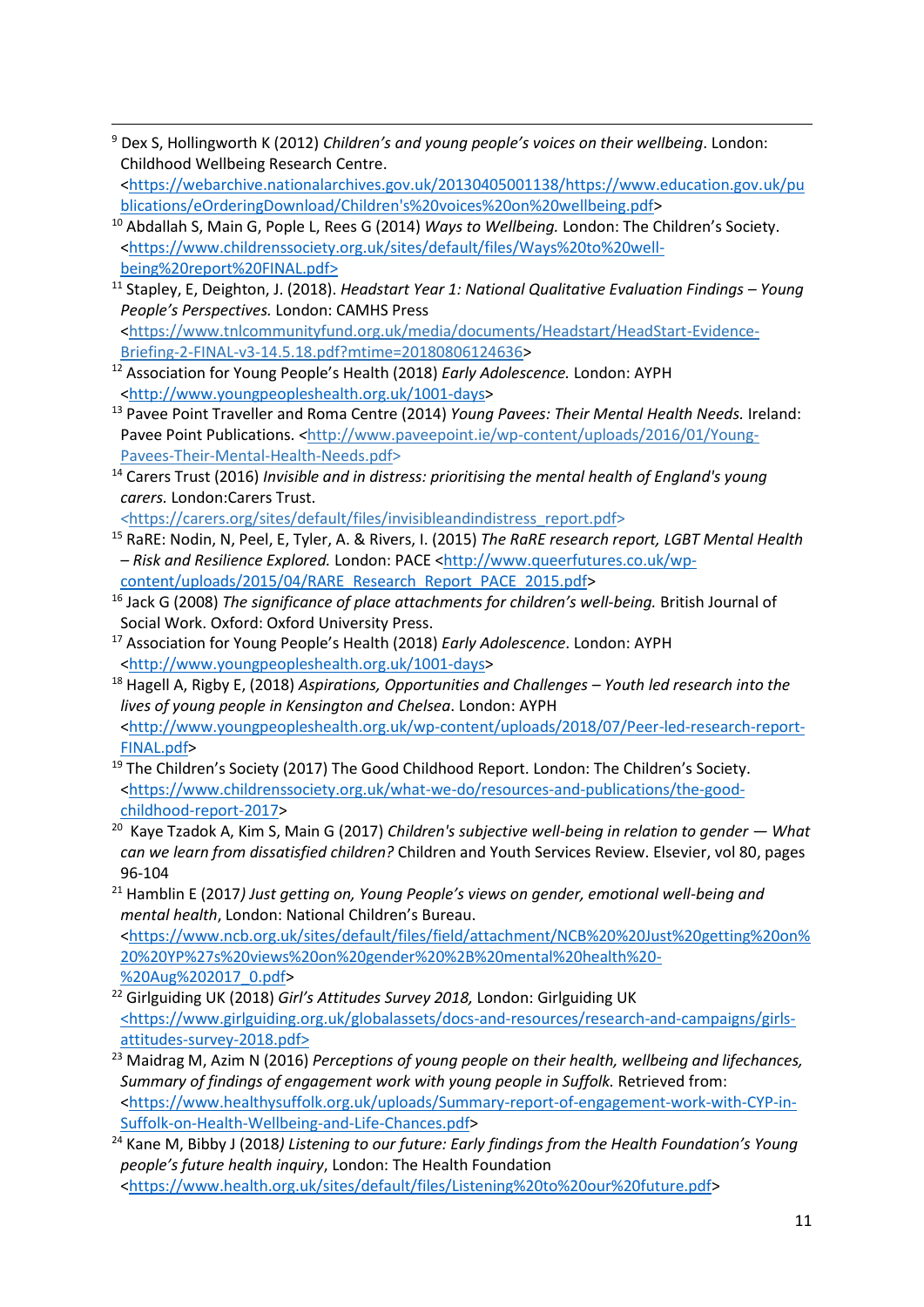- <sup>9</sup> Dex S, Hollingworth K (2012) *Children's and young people's voices on their wellbeing*. London: Childhood Wellbeing Research Centre. [<https://webarchive.nationalarchives.gov.uk/20130405001138/https://www.education.gov.uk/pu](https://webarchive.nationalarchives.gov.uk/20130405001138/https:/www.education.gov.uk/publications/eOrderingDownload/Children) [blications/eOrderingDownload/Children's%20voices%20on%20wellbeing.pdf>](https://webarchive.nationalarchives.gov.uk/20130405001138/https:/www.education.gov.uk/publications/eOrderingDownload/Children)
- <sup>10</sup> Abdallah S, Main G, Pople L, Rees G (2014) *Ways to Wellbeing.* London: The Children's Society. [<https://www.childrenssociety.org.uk/sites/default/files/Ways%20to%20well](https://www.childrenssociety.org.uk/sites/default/files/Ways%20to%20well-being%20report%20FINAL.pdf)[being%20report%20FINAL.pdf>](https://www.childrenssociety.org.uk/sites/default/files/Ways%20to%20well-being%20report%20FINAL.pdf)
- <sup>11</sup> Stapley, E, Deighton, J. (2018). *Headstart Year 1: National Qualitative Evaluation Findings – Young People's Perspectives.* London: CAMHS Press [<https://www.tnlcommunityfund.org.uk/media/documents/Headstart/HeadStart-Evidence-](https://www.tnlcommunityfund.org.uk/media/documents/Headstart/HeadStart-Evidence-Briefing-2-FINAL-v3-14.5.18.pdf?mtime=20180806124636)
- [Briefing-2-FINAL-v3-14.5.18.pdf?mtime=20180806124636>](https://www.tnlcommunityfund.org.uk/media/documents/Headstart/HeadStart-Evidence-Briefing-2-FINAL-v3-14.5.18.pdf?mtime=20180806124636)
- <sup>12</sup> Association for Young People's Health (2018) *Early Adolescence.* London: AYPH [<http://www.youngpeopleshealth.org.uk/1001-days>](http://www.youngpeopleshealth.org.uk/1001-days)
- <sup>13</sup> Pavee Point Traveller and Roma Centre (2014) *Young Pavees: Their Mental Health Needs.* Ireland: Pavee Point Publications. *<*[http://www.paveepoint.ie/wp-content/uploads/2016/01/Young-](http://www.paveepoint.ie/wp-content/uploads/2016/01/Young-Pavees-Their-Mental-Health-Needs.pdf)[Pavees-Their-Mental-Health-Needs.pdf>](http://www.paveepoint.ie/wp-content/uploads/2016/01/Young-Pavees-Their-Mental-Health-Needs.pdf)
- <sup>14</sup> Carers Trust (2016) *Invisible and in distress: prioritising the mental health of England's young carers.* London:Carers Trust.
- *<*[https://carers.org/sites/default/files/invisibleandindistress\\_report.pdf>](https://carers.org/sites/default/files/invisibleandindistress_report.pdf)
- <sup>15</sup> RaRE: Nodin, N, Peel, E, Tyler, A. & Rivers, I. (2015) *The RaRE research report, LGBT Mental Health – Risk and Resilience Explored.* London: PACE [<http://www.queerfutures.co.uk/wp](http://www.queerfutures.co.uk/wp-content/uploads/2015/04/RARE_Research_Report_PACE_2015.pdf)[content/uploads/2015/04/RARE\\_Research\\_Report\\_PACE\\_2015.pdf>](http://www.queerfutures.co.uk/wp-content/uploads/2015/04/RARE_Research_Report_PACE_2015.pdf)
- <sup>16</sup> Jack G (2008) *The significance of place attachments for children's well-being.* British Journal of Social Work. Oxford: Oxford University Press.
- <sup>17</sup> Association for Young People's Health (2018) *Early Adolescence*. London: AYPH [<http://www.youngpeopleshealth.org.uk/1001-days>](http://www.youngpeopleshealth.org.uk/1001-days)
- <sup>18</sup> Hagell A, Rigby E, (2018) *Aspirations, Opportunities and Challenges – Youth led research into the lives of young people in Kensington and Chelsea*. London: AYPH [<http://www.youngpeopleshealth.org.uk/wp-content/uploads/2018/07/Peer-led-research-report-](http://www.youngpeopleshealth.org.uk/wp-content/uploads/2018/07/Peer-led-research-report-FINAL.pdf)[FINAL.pdf>](http://www.youngpeopleshealth.org.uk/wp-content/uploads/2018/07/Peer-led-research-report-FINAL.pdf)
- <sup>19</sup> The Children's Society (2017) The Good Childhood Report. London: The Children's Society. [<https://www.childrenssociety.org.uk/what-we-do/resources-and-publications/the-good](https://www.childrenssociety.org.uk/what-we-do/resources-and-publications/the-good-childhood-report-2017)[childhood-report-2017>](https://www.childrenssociety.org.uk/what-we-do/resources-and-publications/the-good-childhood-report-2017)
- <sup>20</sup> Kaye Tzadok A, Kim S, Main G (2017) *Children's subjective well-being in relation to gender What can we learn from dissatisfied children?* Children and Youth Services Review. Elsevier, vol 80, pages 96-104
- <sup>21</sup> Hamblin E (2017) *Just getting on, Young People's views on gender, emotional well-being and mental health*, London: National Children's Bureau.

[<https://www.ncb.org.uk/sites/default/files/field/attachment/NCB%20%20Just%20getting%20on%](https://www.ncb.org.uk/sites/default/files/field/attachment/NCB%20%20Just%20getting%20on%20%20YP%27s%20views%20on%20gender%20%2B%20mental%20health%20-%20Aug%202017_0.pdf) [20%20YP%27s%20views%20on%20gender%20%2B%20mental%20health%20-](https://www.ncb.org.uk/sites/default/files/field/attachment/NCB%20%20Just%20getting%20on%20%20YP%27s%20views%20on%20gender%20%2B%20mental%20health%20-%20Aug%202017_0.pdf) [%20Aug%202017\\_0.pdf>](https://www.ncb.org.uk/sites/default/files/field/attachment/NCB%20%20Just%20getting%20on%20%20YP%27s%20views%20on%20gender%20%2B%20mental%20health%20-%20Aug%202017_0.pdf)

- <sup>22</sup> Girlguiding UK (2018) *Girl's Attitudes Survey 2018,* London: Girlguiding UK [<https://www.girlguiding.org.uk/globalassets/docs-and-resources/research-and-campaigns/girls](https://www.girlguiding.org.uk/globalassets/docs-and-resources/research-and-campaigns/girls-attitudes-survey-2018.pdf)[attitudes-survey-2018.pdf>](https://www.girlguiding.org.uk/globalassets/docs-and-resources/research-and-campaigns/girls-attitudes-survey-2018.pdf)
- <sup>23</sup> Maidrag M, Azim N (2016) *Perceptions of young people on their health, wellbeing and lifechances, Summary of findings of engagement work with young people in Suffolk.* Retrieved from: [<https://www.healthysuffolk.org.uk/uploads/Summary-report-of-engagement-work-with-CYP-in-](https://www.healthysuffolk.org.uk/uploads/Summary-report-of-engagement-work-with-CYP-in-Suffolk-on-Health-Wellbeing-and-Life-Chances.pdf)[Suffolk-on-Health-Wellbeing-and-Life-Chances.pdf>](https://www.healthysuffolk.org.uk/uploads/Summary-report-of-engagement-work-with-CYP-in-Suffolk-on-Health-Wellbeing-and-Life-Chances.pdf)
- <sup>24</sup> Kane M, Bibby J (2018*) Listening to our future: Early findings from the Health Foundation's Young people's future health inquiry*, London: The Health Foundation

[<https://www.health.org.uk/sites/default/files/Listening%20to%20our%20future.pdf>](https://www.health.org.uk/sites/default/files/Listening%20to%20our%20future.pdf)